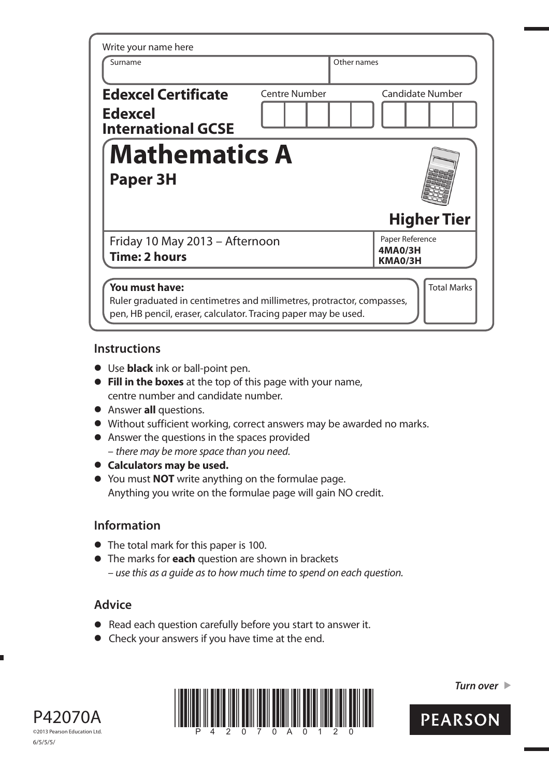| Write your name here                                                                                                                                       |                      |                                       |                    |  |
|------------------------------------------------------------------------------------------------------------------------------------------------------------|----------------------|---------------------------------------|--------------------|--|
| Surname                                                                                                                                                    |                      | Other names                           |                    |  |
| <b>Edexcel Certificate</b><br><b>Edexcel</b><br><b>International GCSE</b>                                                                                  | <b>Centre Number</b> | <b>Candidate Number</b>               |                    |  |
| <b>Mathematics A</b><br><b>Paper 3H</b>                                                                                                                    |                      |                                       |                    |  |
|                                                                                                                                                            |                      | <b>Higher Tier</b>                    |                    |  |
| Friday 10 May 2013 - Afternoon<br><b>Time: 2 hours</b>                                                                                                     |                      | Paper Reference<br>4MA0/3H<br>KMA0/3H |                    |  |
| You must have:<br>Ruler graduated in centimetres and millimetres, protractor, compasses,<br>pen, HB pencil, eraser, calculator. Tracing paper may be used. |                      |                                       | <b>Total Marks</b> |  |

## **Instructions**

- **t** Use **black** ink or ball-point pen.
- **Fill in the boxes** at the top of this page with your name, centre number and candidate number.
- **•** Answer **all** questions.
- **t** Without sufficient working, correct answers may be awarded no marks.
- **•** Answer the questions in the spaces provided – there may be more space than you need.
- $\bullet$  Calculators may be used.
- **t** You must **NOT** write anything on the formulae page. Anything you write on the formulae page will gain NO credit.

# **Information**

- **•** The total mark for this paper is 100.
- **t** The marks for **each** question are shown in brackets – use this as a guide as to how much time to spend on each question.

# **Advice**

- **t** Read each question carefully before you start to answer it.
- **•** Check your answers if you have time at the end.





*Turn over* 

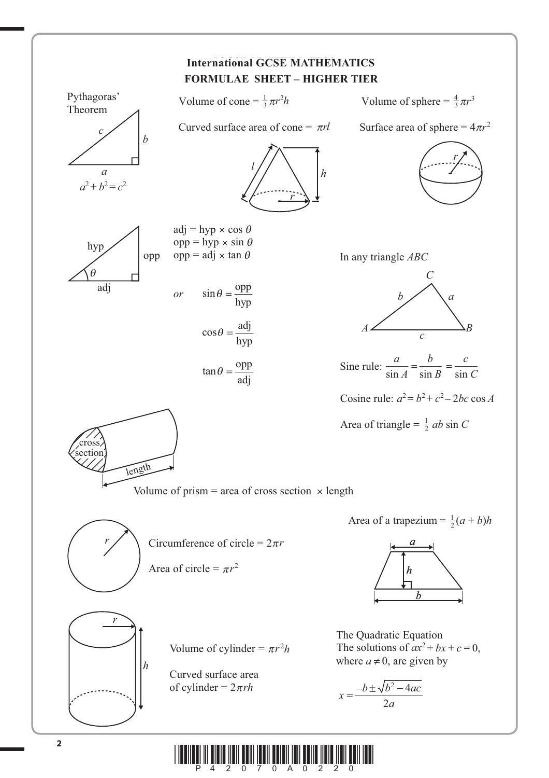

**\* A** 2007 And **And And And And And And And And And And**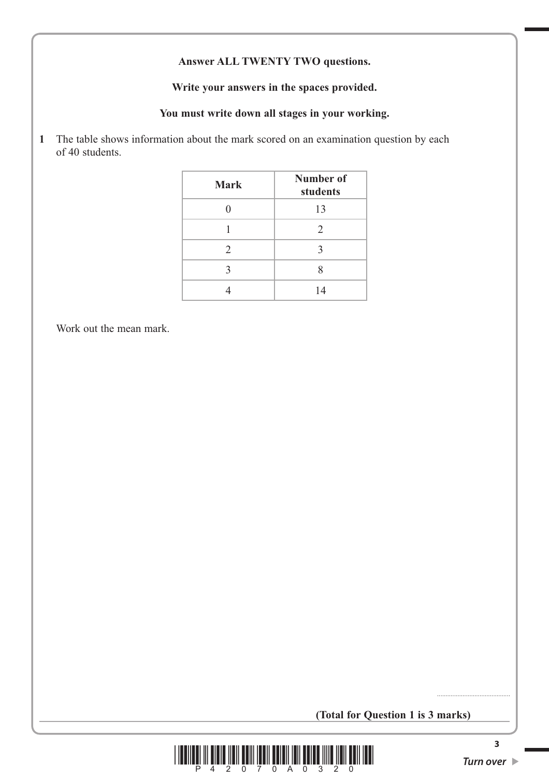### **Answer ALL TWENTY TWO questions.**

#### **Write your answers in the spaces provided.**

### **You must write down all stages in your working.**

**1** The table shows information about the mark scored on an examination question by each of 40 students.

| <b>Mark</b> | Number of<br>students |
|-------------|-----------------------|
|             | 13                    |
|             | $\overline{2}$        |
| 2           | 3                     |
| 3           | Ջ                     |
|             | 14                    |

Work out the mean mark.

## **(Total for Question 1 is 3 marks)**



...........................................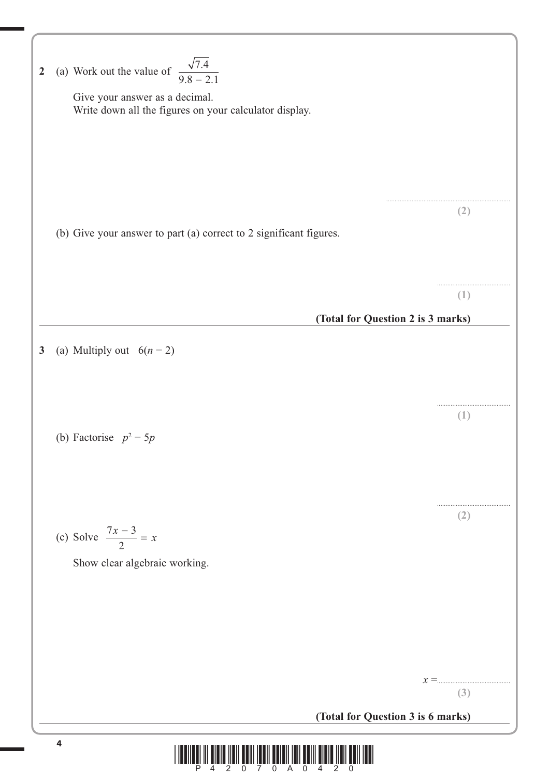| $\boldsymbol{2}$                                                                                                                                                                                                                                                                                                                                                                                                                                                   | (a) Work out the value of $\frac{\sqrt{7.4}}{9.8 - 2.1}$<br>Give your answer as a decimal.<br>Write down all the figures on your calculator display. |     |  |
|--------------------------------------------------------------------------------------------------------------------------------------------------------------------------------------------------------------------------------------------------------------------------------------------------------------------------------------------------------------------------------------------------------------------------------------------------------------------|------------------------------------------------------------------------------------------------------------------------------------------------------|-----|--|
|                                                                                                                                                                                                                                                                                                                                                                                                                                                                    | (b) Give your answer to part (a) correct to 2 significant figures.                                                                                   | (2) |  |
|                                                                                                                                                                                                                                                                                                                                                                                                                                                                    | (Total for Question 2 is 3 marks)                                                                                                                    | (1) |  |
| 3                                                                                                                                                                                                                                                                                                                                                                                                                                                                  | (a) Multiply out $6(n-2)$                                                                                                                            |     |  |
|                                                                                                                                                                                                                                                                                                                                                                                                                                                                    | (b) Factorise $p^2 - 5p$                                                                                                                             | (1) |  |
|                                                                                                                                                                                                                                                                                                                                                                                                                                                                    | (c) Solve $\frac{7x-3}{2} = x$<br>Show clear algebraic working.                                                                                      | (2) |  |
|                                                                                                                                                                                                                                                                                                                                                                                                                                                                    | $x =$<br>(Total for Question 3 is 6 marks)                                                                                                           | (3) |  |
| 4<br>$\begin{array}{c} \text{if} \ \text{if} \ \text{if} \ \text{if} \ \text{if} \ \text{if} \ \text{if} \ \text{if} \ \text{if} \ \text{if} \ \text{if} \ \text{if} \ \text{if} \ \text{if} \ \text{if} \ \text{if} \ \text{if} \ \text{if} \ \text{if} \ \text{if} \ \text{if} \ \text{if} \ \text{if} \ \text{if} \ \text{if} \ \text{if} \ \text{if} \ \text{if} \ \text{if} \ \text{if} \ \text{if} \ \text{if} \ \text{if} \ \text{if} \ \text{if} \ \text{$ |                                                                                                                                                      |     |  |

 $\sqrt{2}$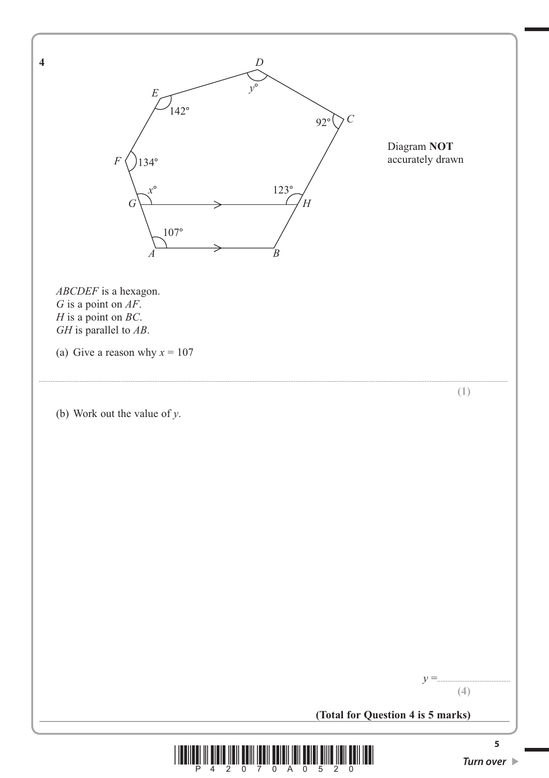

![](_page_4_Picture_1.jpeg)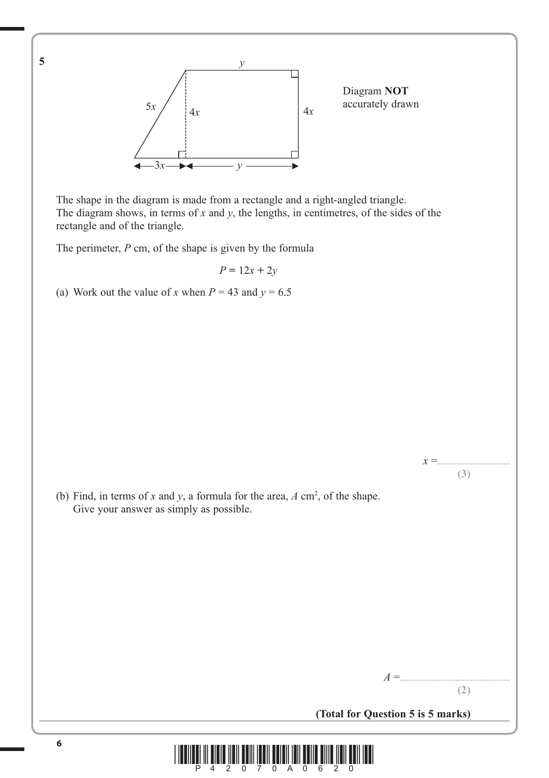![](_page_5_Figure_0.jpeg)

Diagram **NOT**

 The shape in the diagram is made from a rectangle and a right-angled triangle. The diagram shows, in terms of *x* and *y*, the lengths, in centimetres, of the sides of the rectangle and of the triangle.

The perimeter, *P* cm, of the shape is given by the formula

 $P = 12x + 2y$ 

(a) Work out the value of *x* when  $P = 43$  and  $y = 6.5$ 

(b) Find, in terms of x and y, a formula for the area,  $A \text{ cm}^2$ , of the shape. Give your answer as simply as possible.

*A* =................................................................. **(2)**

*x* =........................................... **(3)**

**(Total for Question 5 is 5 marks)**

![](_page_5_Picture_9.jpeg)

**5**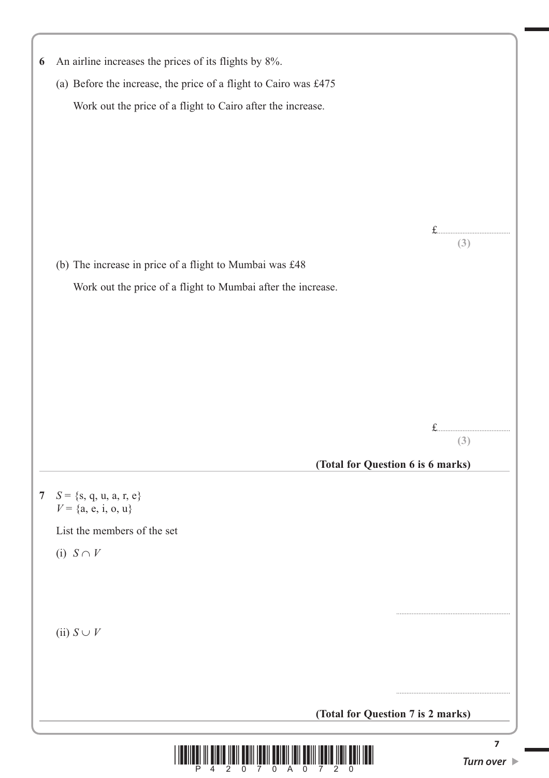| 6               | An airline increases the prices of its flights by 8%.            |                                 |
|-----------------|------------------------------------------------------------------|---------------------------------|
|                 | (a) Before the increase, the price of a flight to Cairo was £475 |                                 |
|                 | Work out the price of a flight to Cairo after the increase.      |                                 |
|                 |                                                                  |                                 |
|                 |                                                                  |                                 |
|                 |                                                                  |                                 |
|                 |                                                                  |                                 |
|                 |                                                                  |                                 |
|                 |                                                                  | f<br>(3)                        |
|                 | (b) The increase in price of a flight to Mumbai was £48          |                                 |
|                 | Work out the price of a flight to Mumbai after the increase.     |                                 |
|                 |                                                                  |                                 |
|                 |                                                                  |                                 |
|                 |                                                                  |                                 |
|                 |                                                                  |                                 |
|                 |                                                                  |                                 |
|                 |                                                                  |                                 |
|                 |                                                                  | (3)                             |
|                 | (Total for Question 6 is 6 marks)                                |                                 |
|                 |                                                                  |                                 |
| $7\overline{ }$ | $S = \{s, q, u, a, r, e\}$<br>$V = \{a, e, i, o, u\}$            |                                 |
|                 | List the members of the set                                      |                                 |
|                 | (i) $S \cap V$                                                   |                                 |
|                 |                                                                  |                                 |
|                 |                                                                  |                                 |
|                 |                                                                  |                                 |
|                 | (ii) $S \cup V$                                                  |                                 |
|                 |                                                                  |                                 |
|                 |                                                                  |                                 |
|                 | (Total for Question 7 is 2 marks)                                |                                 |
|                 |                                                                  | 7                               |
|                 |                                                                  | Turn over $\blacktriangleright$ |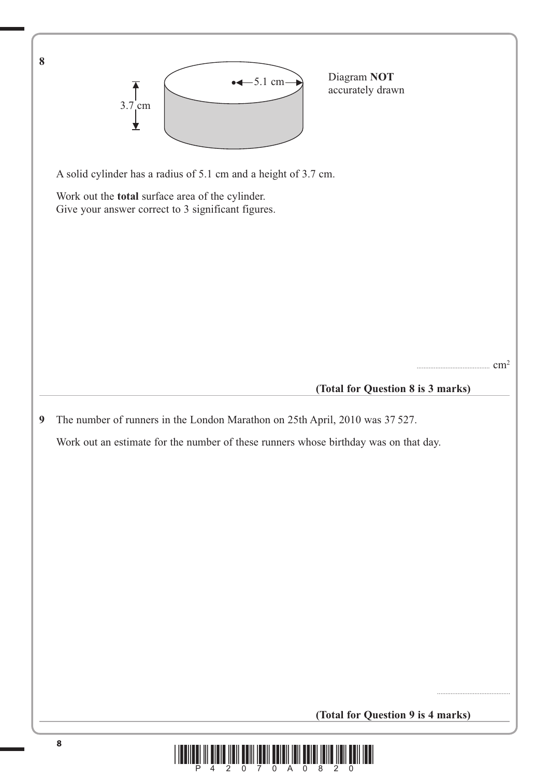![](_page_7_Figure_0.jpeg)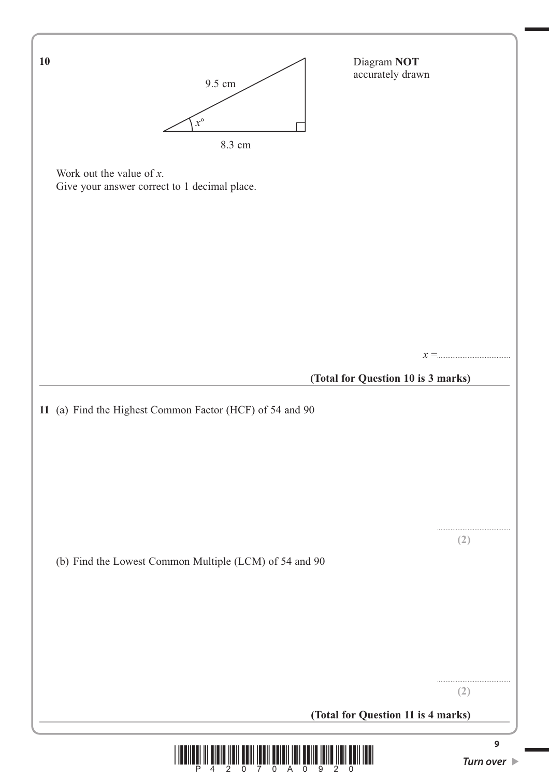![](_page_8_Figure_0.jpeg)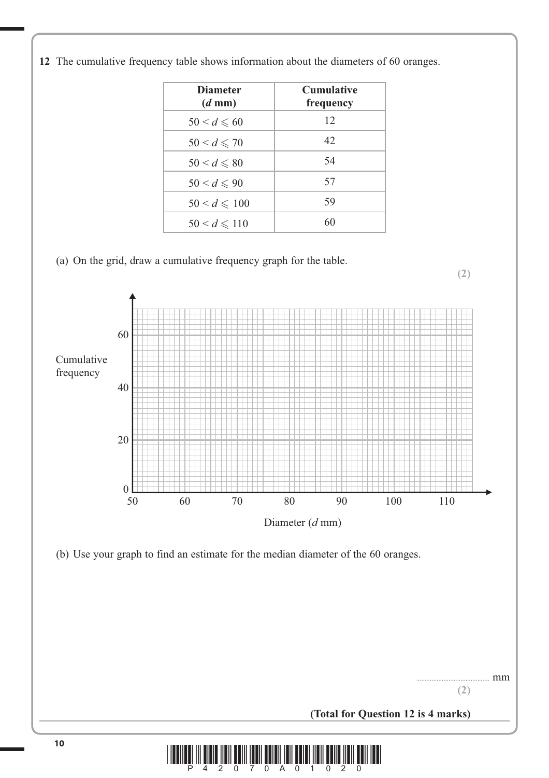![](_page_9_Figure_0.jpeg)

**(2)**

![](_page_9_Figure_1.jpeg)

![](_page_9_Figure_2.jpeg)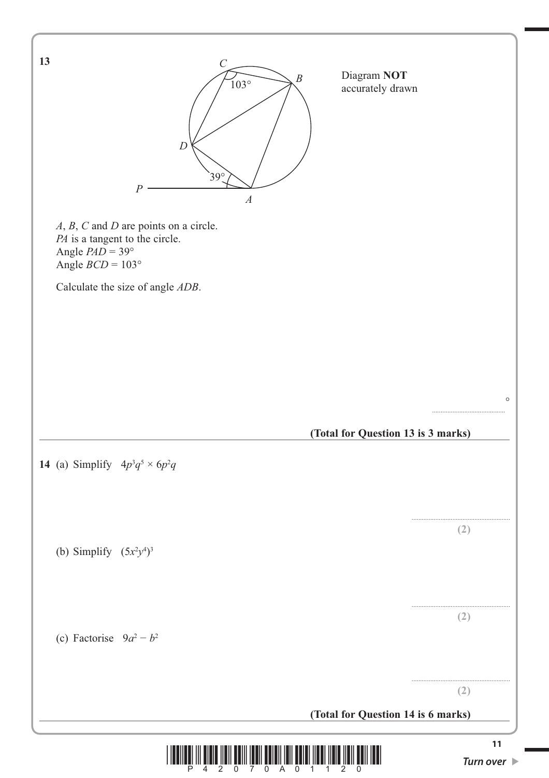![](_page_10_Figure_0.jpeg)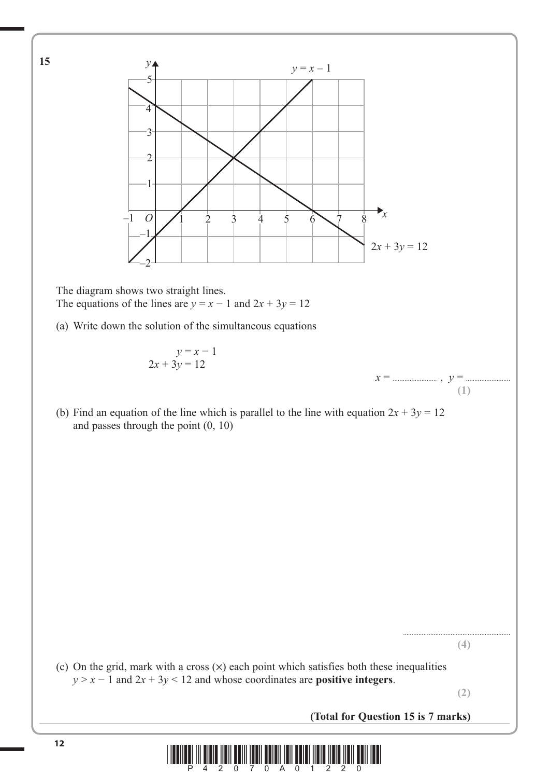![](_page_11_Figure_0.jpeg)

![](_page_11_Picture_1.jpeg)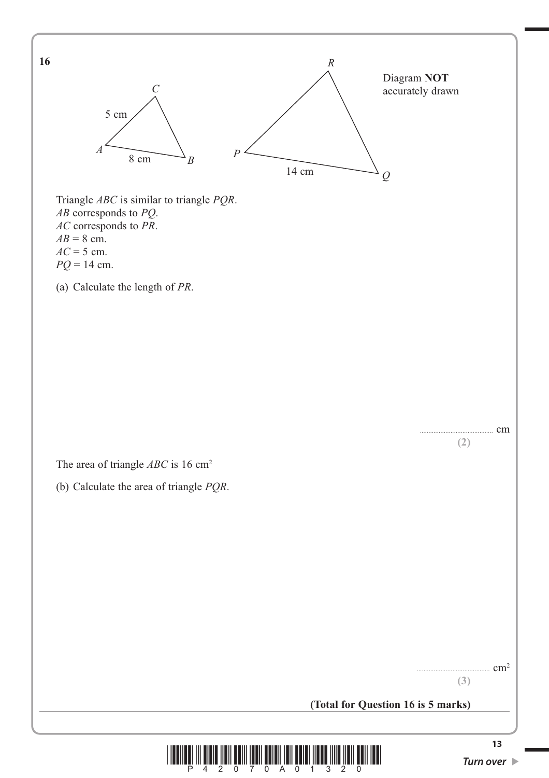![](_page_12_Figure_0.jpeg)

 $\overline{2}$  $\overline{\phantom{0}}$ 

P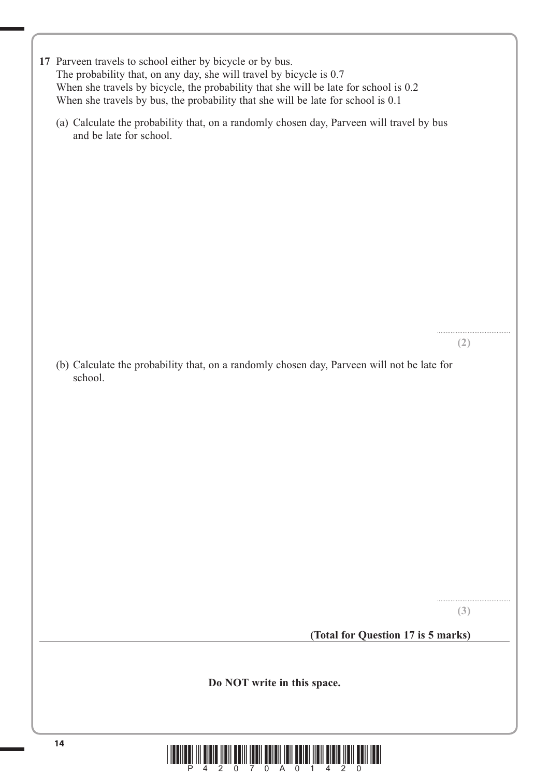| 17 Parveen travels to school either by bicycle or by bus.                            |  |  |
|--------------------------------------------------------------------------------------|--|--|
| The probability that, on any day, she will travel by bicycle is 0.7                  |  |  |
| When she travels by bicycle, the probability that she will be late for school is 0.2 |  |  |
| When she travels by bus, the probability that she will be late for school is 0.1     |  |  |
|                                                                                      |  |  |

 (a) Calculate the probability that, on a randomly chosen day, Parveen will travel by bus and be late for school.

**(2)**

...........................................

 (b) Calculate the probability that, on a randomly chosen day, Parveen will not be late for school.

**(3)**

...........................................

**(Total for Question 17 is 5 marks)**

**Do NOT write in this space.**

![](_page_13_Picture_7.jpeg)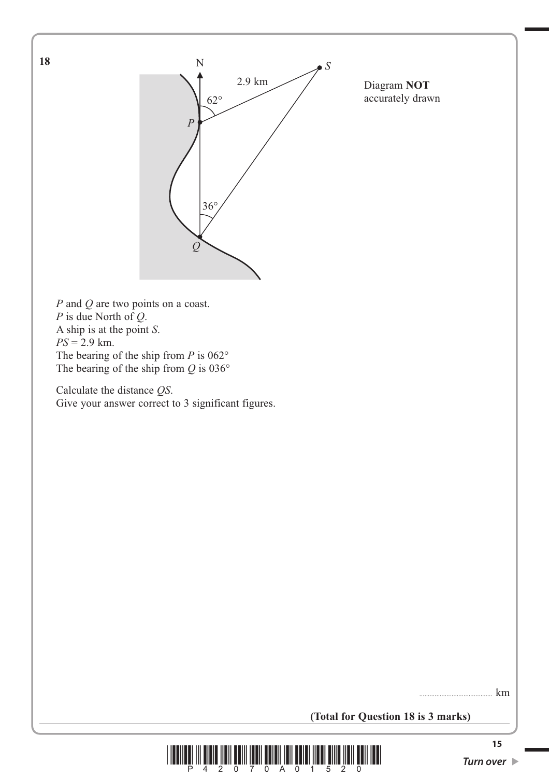![](_page_14_Figure_0.jpeg)

Diagram **NOT** accurately drawn

*P* and *Q* are two points on a coast. *P* is due North of *Q*. A ship is at the point *S*. *PS* = 2.9 km. The bearing of the ship from *P* is 062° The bearing of the ship from *Q* is 036°

 Calculate the distance *QS*. Give your answer correct to 3 significant figures.

 $\ldots$  km

**(Total for Question 18 is 3 marks)**

![](_page_14_Picture_6.jpeg)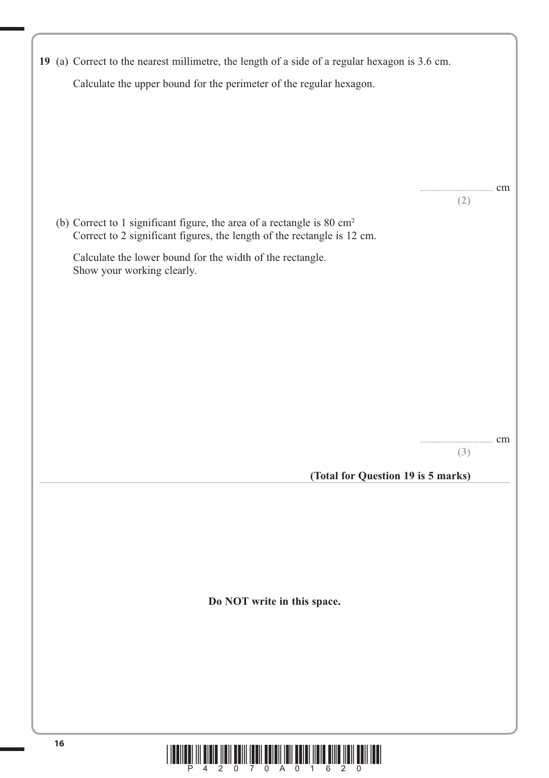| 19 (a) Correct to the nearest millimetre, the length of a side of a regular hexagon is 3.6 cm. |     |  |  |  |
|------------------------------------------------------------------------------------------------|-----|--|--|--|
| Calculate the upper bound for the perimeter of the regular hexagon.                            |     |  |  |  |
|                                                                                                |     |  |  |  |
|                                                                                                |     |  |  |  |
|                                                                                                |     |  |  |  |
|                                                                                                |     |  |  |  |
|                                                                                                |     |  |  |  |
|                                                                                                |     |  |  |  |
|                                                                                                |     |  |  |  |
|                                                                                                | cm  |  |  |  |
|                                                                                                | (2) |  |  |  |
| (b) Correct to 1 significant figure, the area of a rectangle is $80 \text{ cm}^2$              |     |  |  |  |
| Correct to 2 significant figures, the length of the rectangle is 12 cm.                        |     |  |  |  |
|                                                                                                |     |  |  |  |
| Calculate the lower bound for the width of the rectangle.<br>Show your working clearly.        |     |  |  |  |
|                                                                                                |     |  |  |  |
|                                                                                                |     |  |  |  |
|                                                                                                |     |  |  |  |
|                                                                                                |     |  |  |  |
|                                                                                                |     |  |  |  |
|                                                                                                |     |  |  |  |
|                                                                                                |     |  |  |  |
|                                                                                                |     |  |  |  |
|                                                                                                |     |  |  |  |
|                                                                                                |     |  |  |  |
|                                                                                                |     |  |  |  |
|                                                                                                | cm  |  |  |  |
|                                                                                                | (3) |  |  |  |
| (Total for Question 19 is 5 marks)                                                             |     |  |  |  |
|                                                                                                |     |  |  |  |
|                                                                                                |     |  |  |  |
|                                                                                                |     |  |  |  |
|                                                                                                |     |  |  |  |
|                                                                                                |     |  |  |  |
|                                                                                                |     |  |  |  |
|                                                                                                |     |  |  |  |
|                                                                                                |     |  |  |  |
| Do NOT write in this space.                                                                    |     |  |  |  |
|                                                                                                |     |  |  |  |
|                                                                                                |     |  |  |  |
|                                                                                                |     |  |  |  |
|                                                                                                |     |  |  |  |
|                                                                                                |     |  |  |  |
|                                                                                                |     |  |  |  |
|                                                                                                |     |  |  |  |
|                                                                                                |     |  |  |  |
|                                                                                                |     |  |  |  |

![](_page_15_Picture_1.jpeg)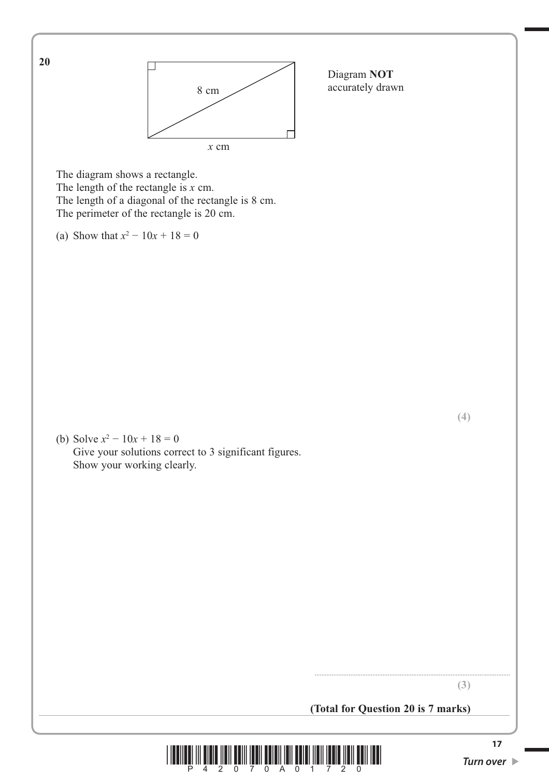![](_page_16_Figure_0.jpeg)

**<sup>17</sup>** Turn over 17 Turn over 19 Turn over 19 Turn over 19 Turn over 19 Turn over 19 Turn over 19 Turn over 19 Turn over 19 Turn over 19 Turn over 19 Turn over 19 Turn over 19 Turn over 19 Turn over 19 Turn over 19 Turn over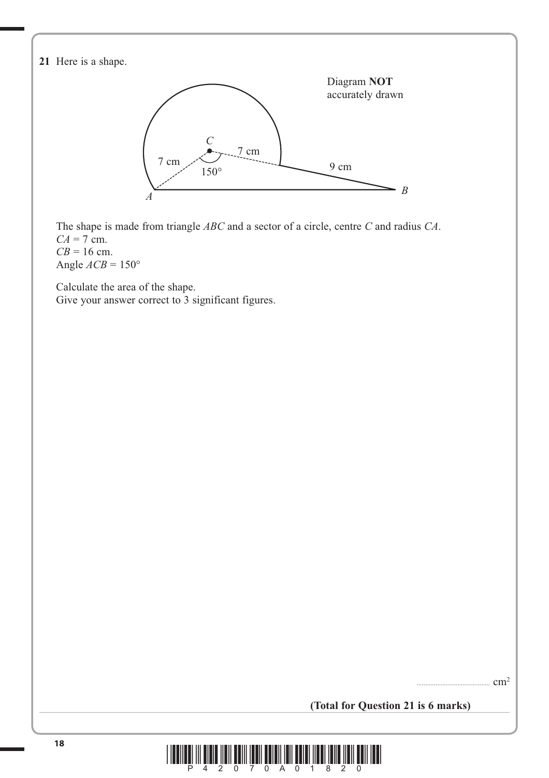**21** Here is a shape. The shape is made from triangle *ABC* and a sector of a circle, centre *C* and radius *CA*. *CA* = 7 cm.  $CB = 16$  cm. Angle  $ACB = 150^\circ$  Calculate the area of the shape. Give your answer correct to 3 significant figures. ........................................... cm2 Diagram **NOT** accurately drawn *B*  $150^\circ$ 7 cm  $\overline{C}$ 9 cm 7 cm *A*

**(Total for Question 21 is 6 marks)**

![](_page_17_Picture_2.jpeg)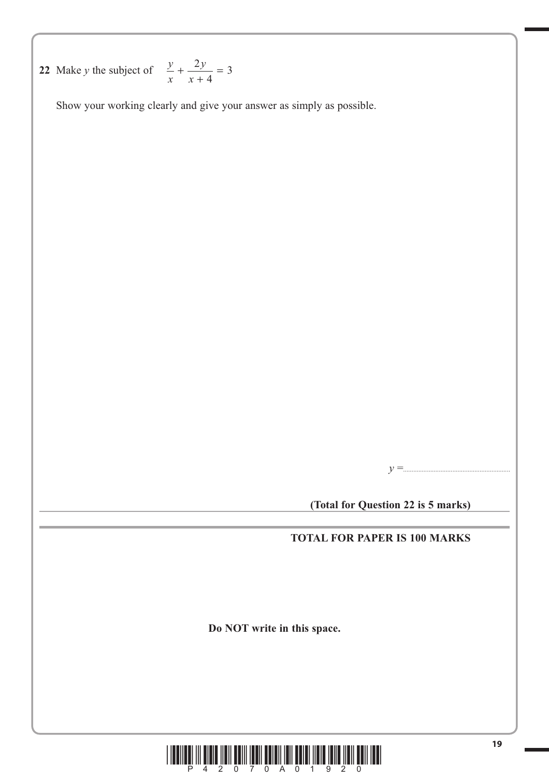**22** Make *y* the subject of  $\frac{y}{x}$ *y*  $+\frac{2y}{x+4} =$ 3

Show your working clearly and give your answer as simply as possible.

*y* =...............................................................

**(Total for Question 22 is 5 marks)**

# **TOTAL FOR PAPER IS 100 MARKS**

**Do NOT write in this space.**

![](_page_18_Picture_6.jpeg)